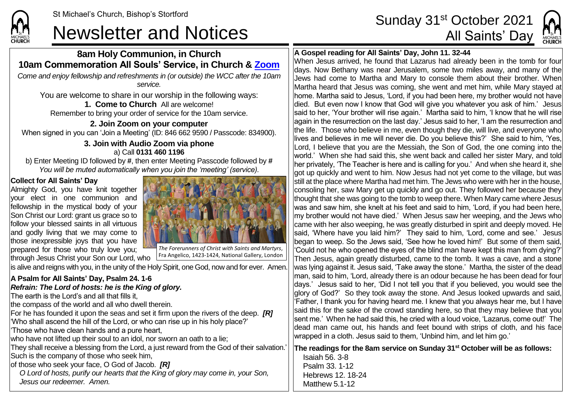# Newsletter and Notices **All Saints' Day**

## **8am Holy Communion, in Church 10am Commemoration All Souls' Service, in Church & [Zoom](https://zoom.us/)** *Come and enjoy fellowship and refreshments in (or outside) the WCC after the 10am*

*service.*

You are welcome to share in our worship in the following ways:

**1. Come to Church** All are welcome! Remember to bring your order of service for the 10am service.

**2. Join Zoom on your computer** When signed in you can 'Join a Meeting' (ID: 846 662 9590 / Passcode: 834900).

**3. Join with Audio Zoom via phone** a) Call **0131 460 1196**

b) Enter Meeting ID followed by **#**, then enter Meeting Passcode followed by **#** *You will be muted automatically when you join the 'meeting' (service).*

### **Collect for All Saints' Day**

Almighty God, you have knit together your elect in one communion and fellowship in the mystical body of your Son Christ our Lord: grant us grace so to follow your blessed saints in all virtuous and godly living that we may come to those inexpressible joys that you have prepared for those who truly love you; through Jesus Christ your Son our Lord, who



*The Forerunners of Christ with Saints and Martyrs*, Fra Angelico, 1423-1424, National Gallery, London

lis alive and reigns with you, in the unity of the Holy Spirit, one God, now and for ever. Amen

#### **A Psalm for All Saints' Day, Psalm 24. 1-6** *Refrain: The Lord of hosts: he is the King of glory.* The earth is the Lord's and all that fills it, the compass of the world and all who dwell therein. For he has founded it upon the seas and set it firm upon the rivers of the deep. *[R]* 'Who shall ascend the hill of the Lord, or who can rise up in his holy place?' 'Those who have clean hands and a pure heart, who have not lifted up their soul to an idol, nor sworn an oath to a lie; They shall receive a blessing from the Lord, a just reward from the God of their salvation.' Such is the company of those who seek him, of those who seek your face, O God of Jacob. *[R] O Lord of hosts, purify our hearts that the King of glory may come in, your Son, Jesus our redeemer. Amen.*

# St Michael's Church, Bishop's Stortford **Sunday 31<sup>st</sup> October 2021**



## **A Gospel reading for All Saints' Day, John 11. 32-44**

When Jesus arrived, he found that Lazarus had already been in the tomb for four days. Now Bethany was near Jerusalem, some two miles away, and many of the Jews had come to Martha and Mary to console them about their brother. When Martha heard that Jesus was coming, she went and met him, while Mary stayed at home. Martha said to Jesus, 'Lord, if you had been here, my brother would not have died. But even now I know that God will give you whatever you ask of him.' Jesus said to her, 'Your brother will rise again.' Martha said to him, 'I know that he will rise again in the resurrection on the last day.' Jesus said to her, 'I am the resurrection and the life. Those who believe in me, even though they die, will live, and everyone who lives and believes in me will never die. Do you believe this?' She said to him, 'Yes, Lord, I believe that you are the Messiah, the Son of God, the one coming into the world.' When she had said this, she went back and called her sister Mary, and told her privately, 'The Teacher is here and is calling for you.' And when she heard it, she got up quickly and went to him. Now Jesus had not yet come to the village, but was still at the place where Martha had met him. The Jews who were with her in the house, consoling her, saw Mary get up quickly and go out. They followed her because they thought that she was going to the tomb to weep there. When Mary came where Jesus was and saw him, she knelt at his feet and said to him, 'Lord, if you had been here, my brother would not have died.' When Jesus saw her weeping, and the Jews who  $|$ came with her also weeping, he was greatly disturbed in spirit and deeply moved. He $|$ said, 'Where have you laid him?' They said to him, 'Lord, come and see.' Jesus began to weep. So the Jews said, 'See how he loved him!' But some of them said, 'Could not he who opened the eyes of the blind man have kept this man from dying?' Then Jesus, again greatly disturbed, came to the tomb. It was a cave, and a stone was lying against it. Jesus said, 'Take away the stone.' Martha, the sister of the dead man, said to him, 'Lord, already there is an odour because he has been dead for four days.' Jesus said to her, 'Did I not tell you that if you believed, you would see the glory of God?' So they took away the stone. And Jesus looked upwards and said, 'Father, I thank you for having heard me. I knew that you always hear me, but I have said this for the sake of the crowd standing here, so that they may believe that you sent me.' When he had said this, he cried with a loud voice, 'Lazarus, come out!' The dead man came out, his hands and feet bound with strips of cloth, and his face wrapped in a cloth. Jesus said to them, 'Unbind him, and let him go.'

**The readings for the 8am service on Sunday 31st October will be as follows:**

Isaiah 56. 3-8 Psalm 33. 1-12 Hebrews 12. 18-24 Matthew 5.1-12